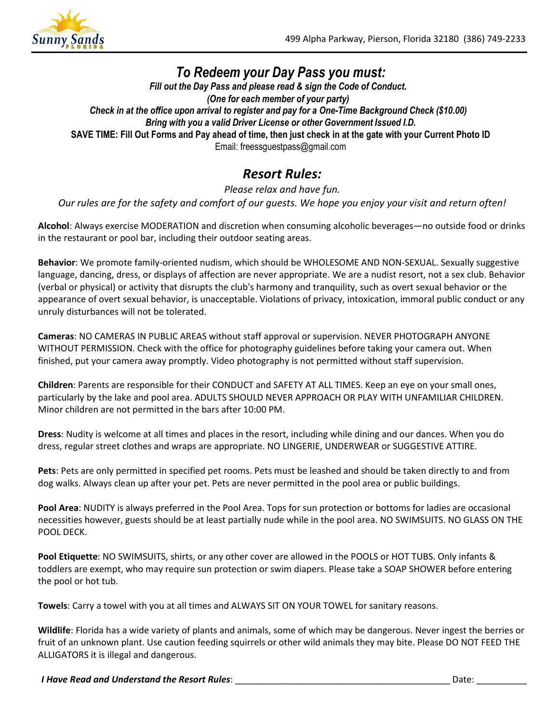

# To Redeem your Day Pass you must:

Fill out the Day Pass and please read & sign the Code of Conduct. (One for each member of your party) Check in at the office upon arrival to register and pay for a One-Time Background Check (\$10.00) Bring with you a valid Driver License or other Government Issued I.D. SAVE TIME: Fill Out Forms and Pay ahead of time, then just check in at the gate with your Current Photo ID Email: freessguestpass@gmail.com

## Resort Rules:

Please relax and have fun. Our rules are for the safety and comfort of our guests. We hope you enjoy your visit and return often!

Alcohol: Always exercise MODERATION and discretion when consuming alcoholic beverages—no outside food or drinks in the restaurant or pool bar, including their outdoor seating areas.

Behavior: We promote family-oriented nudism, which should be WHOLESOME AND NON-SEXUAL. Sexually suggestive language, dancing, dress, or displays of affection are never appropriate. We are a nudist resort, not a sex club. Behavior (verbal or physical) or activity that disrupts the club's harmony and tranquility, such as overt sexual behavior or the appearance of overt sexual behavior, is unacceptable. Violations of privacy, intoxication, immoral public conduct or any unruly disturbances will not be tolerated.

Cameras: NO CAMERAS IN PUBLIC AREAS without staff approval or supervision. NEVER PHOTOGRAPH ANYONE WITHOUT PERMISSION. Check with the office for photography guidelines before taking your camera out. When finished, put your camera away promptly. Video photography is not permitted without staff supervision.

Children: Parents are responsible for their CONDUCT and SAFETY AT ALL TIMES. Keep an eye on your small ones, particularly by the lake and pool area. ADULTS SHOULD NEVER APPROACH OR PLAY WITH UNFAMILIAR CHILDREN. Minor children are not permitted in the bars after 10:00 PM.

Dress: Nudity is welcome at all times and places in the resort, including while dining and our dances. When you do dress, regular street clothes and wraps are appropriate. NO LINGERIE, UNDERWEAR or SUGGESTIVE ATTIRE.

Pets: Pets are only permitted in specified pet rooms. Pets must be leashed and should be taken directly to and from dog walks. Always clean up after your pet. Pets are never permitted in the pool area or public buildings.

Pool Area: NUDITY is always preferred in the Pool Area. Tops for sun protection or bottoms for ladies are occasional necessities however, guests should be at least partially nude while in the pool area. NO SWIMSUITS. NO GLASS ON THE POOL DECK.

Pool Etiquette: NO SWIMSUITS, shirts, or any other cover are allowed in the POOLS or HOT TUBS. Only infants & toddlers are exempt, who may require sun protection or swim diapers. Please take a SOAP SHOWER before entering the pool or hot tub.

Towels: Carry a towel with you at all times and ALWAYS SIT ON YOUR TOWEL for sanitary reasons.

Wildlife: Florida has a wide variety of plants and animals, some of which may be dangerous. Never ingest the berries or fruit of an unknown plant. Use caution feeding squirrels or other wild animals they may bite. Please DO NOT FEED THE ALLIGATORS it is illegal and dangerous.

I Have Read and Understand the Resort Rules: \_\_\_\_\_\_\_\_\_\_\_\_\_\_\_\_\_\_\_\_\_\_\_\_\_\_\_\_\_\_\_\_\_\_\_\_\_\_\_\_\_\_\_ Date: \_\_\_\_\_\_\_\_\_\_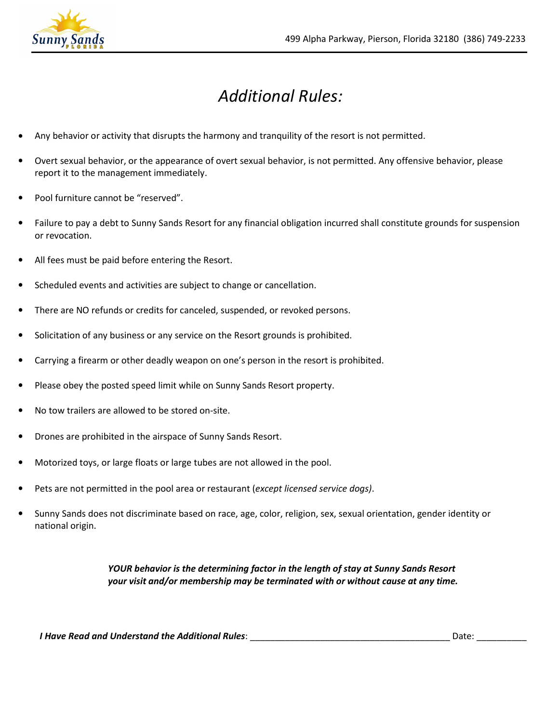

# Additional Rules:

- Any behavior or activity that disrupts the harmony and tranquility of the resort is not permitted.
- Overt sexual behavior, or the appearance of overt sexual behavior, is not permitted. Any offensive behavior, please report it to the management immediately.
- Pool furniture cannot be "reserved".
- Failure to pay a debt to Sunny Sands Resort for any financial obligation incurred shall constitute grounds for suspension or revocation.
- All fees must be paid before entering the Resort.
- Scheduled events and activities are subject to change or cancellation.
- There are NO refunds or credits for canceled, suspended, or revoked persons.
- Solicitation of any business or any service on the Resort grounds is prohibited.
- Carrying a firearm or other deadly weapon on one's person in the resort is prohibited.
- Please obey the posted speed limit while on Sunny Sands Resort property.
- No tow trailers are allowed to be stored on-site.
- Drones are prohibited in the airspace of Sunny Sands Resort.
- Motorized toys, or large floats or large tubes are not allowed in the pool.
- Pets are not permitted in the pool area or restaurant (except licensed service dogs).
- Sunny Sands does not discriminate based on race, age, color, religion, sex, sexual orientation, gender identity or national origin.

#### YOUR behavior is the determining factor in the length of stay at Sunny Sands Resort your visit and/or membership may be terminated with or without cause at any time.

I Have Read and Understand the Additional Rules: \_\_\_\_\_\_\_\_\_\_\_\_\_\_\_\_\_\_\_\_\_\_\_\_\_\_\_\_\_\_\_\_\_\_\_\_\_\_\_\_ Date: \_\_\_\_\_\_\_\_\_\_